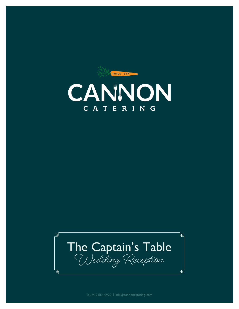



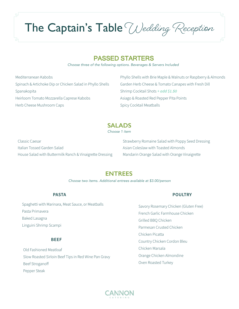The Captain's Table Wedding Reception

# PASSED STARTERS

*Choose three of the following options. Beverages & Servers Included*

Mediterranean Kabobs Spinach & Artichoke Dip or Chicken Salad in Phyllo Shells Spanakopita Heirloom Tomato Mozzarella Caprese Kabobs Herb Cheese Mushroom Caps

Phyllo Shells with Brie Maple & Walnuts or Raspberry & Almonds Garden Herb Cheese & Tomato Canapes with Fresh Dill Shrimp Cocktail Shots *+ add \$1.50* Asiago & Roasted Red Pepper Pita Points Spicy Cocktail Meatballs

# **SALADS**

*Choose 1 item*

Classic Caesar Italian Tossed Garden Salad House Salad with Buttermilk Ranch & Vinaigrette Dressing Strawberry Romaine Salad with Poppy Seed Dressing Asian Coleslaw with Toasted Almonds Mandarin Orange Salad with Orange Vinaigrette

# **ENTREES**

*Choose two items. Additional entrees available at \$3.00/person*

#### **PASTA**

Spaghetti with Marinara, Meat Sauce, or Meatballs Pasta Primavera Baked Lasagna Linguini Shrimp Scampi

#### **BEEF**

Old Fashioned Meatloaf Slow Roasted Sirloin Beef Tips in Red Wine Pan Gravy Beef Stroganoff Pepper Steak

#### **POULTRY**

Savory Rosemary Chicken (Gluten Free) French Garlic Farmhouse Chicken Grilled BBQ Chicken Parmesan Crusted Chicken Chicken Picatta Country Chicken Cordon Bleu Chicken Marsala Orange Chicken Almondine Oven Roasted Turkey

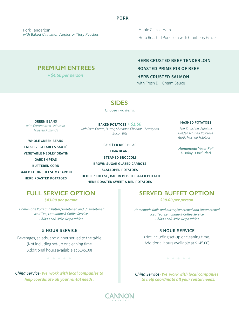#### **PORK**

Pork Tenderloin *with Baked Cinnamon Apples or Tipsy Peaches* Maple Glazed Ham Herb Roasted Pork Loin with Cranberry Glaze

# **PREMIUM ENTREES**

*+ \$4.50 per person*

#### **HERB BEEF TENDERLOIN CRUSTED**

#### **ROASTED PRIME RIB OF BEEF**

# **HERB CRUSTED SALMON**

with Fresh Dill Cream Sauce

# **SIDES**

*Choose two items.*

**GREEN BEANS** *with Caramelized Onions or Toasted Almonds*

**BAKED POTATOES** *+ \$1.50 Bacon Bits with Sour Cream, Butter, Shredded Cheddar Cheese,and*

**WHOLE GREEN BEANS VEGETABLE MEDLEY GRATIN GARDEN PEAS BUTTERED CORN BAKED FOUR-CHEESE MACARONI HERB ROASTED POTATOES FRESH VEGETABLES**

**STEAMED BROCCOLI BROWN SUGAR GLAZED CARROTS SCALLOPED POTATOES HERB ROASTED SWEET & RED POTATOES SAUT<sup>É</sup> SAUTÉED RICE PILAF LIMA BEANS CHEDDER CHEESE, BACON BITS TO BAKED POTATO**

#### **MASHED POTATOES**

*Red Smashed Potatoes Golden Mashed Potatoes Garlic Mashed Potatoes*

*Homemade Yeast Roll Display is Included*

*\$43.00 per person \$38.00 per person*

*Homemade Rolls and butter,Sweetened and Unsweetened Iced Tea, Lemonade & Coffee Service China Look Alike Disposables China Look Alike Disposables*

#### **5 HOUR SERVICE**

Beverages, salads, and dinner served to the table. (Not including set-up or cleaning time. Additional hours available at \$145.00)

*China Service* -*We work with local companies to help coordinate all your rental needs.*

# **FULL SERVICE OPTION SERVED BUFFET OPTION**

*Homemade Rolls and butter,Sweetened and Unsweetened Iced Tea, Lemonade & Coffee Service*

#### **5 HOUR SERVICE**

(Not including set-up or cleaning time. Additional hours available at \$145.00)

 *China Service* -*We work with local companies to help coordinate all your rental needs.*

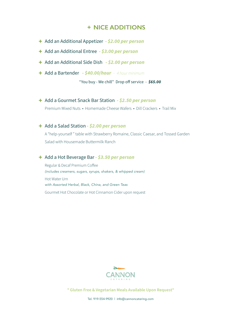# **+ NICE ADDITIONS**

- **+** Add an Additional Appetizer *- \$2.00 per person*
- **+** Add an Additional Entree *\$3.00 per person*
- **+** Add an Additional Side Dish *- \$2.00 per person*
- **+** Add a Bartender *- \$40.00/hour - 4 hour minimum*

"You buy - We chill" Drop off service - *\$65.00*

**+** Add a Gourmet Snack Bar Station *- \$2.50 per person* Premium Mixed Nuts • Homemade Cheese Wafers • Dill Crackers • Trail Mix

# **+** Add a Salad Station *- \$2.00 per person*

 A "help-yourself " table with Strawberry Romaine, Classic Caesar, and Tossed Garden Salad with Housemade Buttermilk Ranch

# **+** Add a Hot Beverage Bar *- \$3.50 per person*

Regular & Decaf Premium Coffee *(includes creamers, sugars, syrups, shakers, & whipped cream)* Hot Water Urn *with Assorted Herbal, Black, China, and Green Teas* Gourmet Hot Chocolate or Hot Cinnamon Cider upon request



**\* Gluten Free & Vegetarian Meals Available Upon Request\***